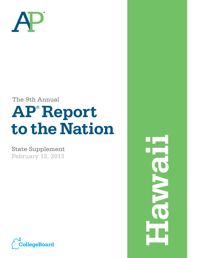

### The 9th Annual

# **AP** ® **Report to the Nation**

State Supplement February 13, 2013



**Hawaii**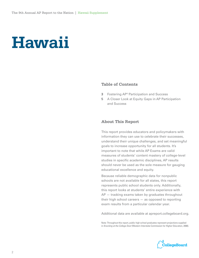# **Hawaii**

### **Table of Contents**

- Fostering AP® Participation and Success **3**
- A Closer Look at Equity Gaps in AP Participation **5**and Success

### **About This Report**

This report provides educators and policymakers with information they can use to celebrate their successes, understand their unique challenges, and set meaningful goals to increase opportunity for all students. It's important to note that while AP Exams are valid measures of students' content mastery of college-level studies in specific academic disciplines, AP results should never be used as the sole measure for gauging educational excellence and equity.

Because reliable demographic data for nonpublic schools are not available for all states, this report represents public school students only. Additionally, this report looks at students' entire experience with AP — tracking exams taken by graduates throughout their high school careers — as opposed to reporting exam results from a particular calendar year.

Additional data are available at [apreport.collegeboard.org](http://apreport.collegeboard.org).

Note: Throughout this report, public high school graduates represent projections supplied in *Knocking at the College Door* (Western Interstate Commission for Higher Education, 2008).

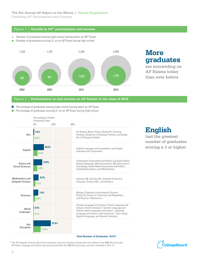### Figure 1 | **Growth in AP® participation and success**

- Number of graduates leaving high school having taken an AP® Exam  $\begin{array}{c} \hline \end{array}$
- Number of graduates scoring 3+ on an AP Exam during high school ●



### **More graduates**

are succeeding on AP Exams today than ever before

### Figure 2 | **Participation in and success on AP Exams in the class of 2012**

Percentage of graduates leaving high school having taken an AP Exam

Percentage of graduates scoring 3+ on an AP Exam during high school **I** 



#### **Total Number of Graduates: 10,511**

**English** 

had the greatest number of graduates scoring a 3 or higher



\* The AP Computer Science AB, French Literature, and Latin Literature Exams were last offered in the 2008-09 school year. AP Italian Language and Culture was discontinued after the 2008-09 school year, and was reinstated in 2011-12.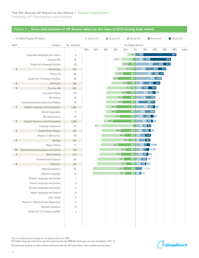Fostering AP Participation and Success



+Due to rounding, percentages do not always add up to 100.0.

\*AP Italian Language and Culture was discontinued after the 2008-09 school year, and was reinstated in 2011-12.

Discontinued subjects, as well as those with fewer than five AP Exam takers, were omitted from this figure.

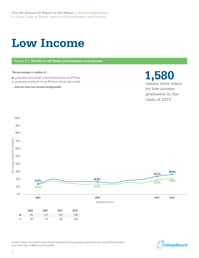## **Low Income**

### Figure 4 | **Trends in AP Exam participation and success**

#### **The percentage or number of ...**

- graduates leaving high school having taken an AP Exam
- graduates scoring 3+ on an AP Exam during high school
- **... who are from low-income backgrounds**



| 100%                                     |      |              |      |      |                                 |       |       |
|------------------------------------------|------|--------------|------|------|---------------------------------|-------|-------|
| 90%                                      |      |              |      |      |                                 |       |       |
| 80%                                      |      |              |      |      |                                 |       |       |
| 70%                                      |      |              |      |      |                                 |       |       |
| 60%                                      |      |              |      |      |                                 |       |       |
| $50\%$                                   |      |              |      |      |                                 |       |       |
| Percentage of Specific Population<br>40% |      |              |      |      |                                 |       |       |
| $30\%$                                   |      |              |      |      |                                 | 23.7% | 26.0% |
| 20%                                      |      | 13.5%        |      |      | $\sim$ 16.3%                    | 18.4% | 20.8% |
| 10%                                      |      | <b>12.6%</b> |      |      | . <b>13.4%</b>                  |       |       |
| $0\%$                                    |      |              |      |      |                                 |       |       |
|                                          |      | 2003         |      |      | 2007<br><b>Graduating Class</b> | 2011  | 2012  |
|                                          | 2003 | 2007         | 2011 | 2012 |                                 |       |       |
|                                          | 176  | 277          | 553  | 756  |                                 |       |       |
|                                          | 85   | 116          | 195  | 249  |                                 |       |       |

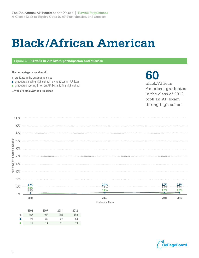# **Black/African American**

### Figure 5 | **Trends in AP Exam participation and success**

#### **The percentage or number of ...**

- $\bullet$  students in the graduating class
- graduates leaving high school having taken an AP Exam
- graduates scoring 3+ on an AP Exam during high school
- **... who are black/African American**

### **60**

black/African American graduates in the class of 2012 took an AP Exam during high school

|                                          |              | <b>Graduating Class</b> |              |              |
|------------------------------------------|--------------|-------------------------|--------------|--------------|
| $0\%$                                    | 2002         | 2007                    | 2011         | 2012         |
|                                          | 1.6%         | 1.6%                    | 1.0%         | 1.6%         |
| 10%                                      | 1.7%<br>1.6% | 2.1%<br>1.8%            | 2.0%<br>1.9% | 2.1%<br>1.8% |
| 20%                                      |              |                         |              |              |
| 30%                                      |              |                         |              |              |
| Percentage of Specific Population<br>40% |              |                         |              |              |
| 50%                                      |              |                         |              |              |
| 60%                                      |              |                         |              |              |
| 70%                                      |              |                         |              |              |
| 80%                                      |              |                         |              |              |
| 90%                                      |              |                         |              |              |
| 100%                                     |              |                         |              |              |

| 2002 | 2007 | 2011 | 2012 |
|------|------|------|------|
| 167  | 192  | 200  | 193  |
| 21   | 36   | 47   | 60   |
| 11   | 14   | 11   | 19   |

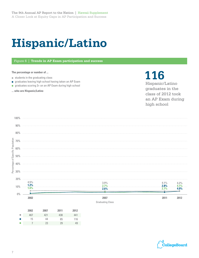# **Hispanic/Latino**

### Figure 6 | **Trends in AP Exam participation and success**

#### **The percentage or number of ...**

- $\bullet$  students in the graduating class
- graduates leaving high school having taken an AP Exam
- graduates scoring 3+ on an AP Exam during high school
- **... who are Hispanic/Latino**

### **116**

Hispanic/Latino graduates in the class of 2012 took an AP Exam during high school

| 100%                              |       |              |  |                         |         |              |              |
|-----------------------------------|-------|--------------|--|-------------------------|---------|--------------|--------------|
| 90%                               |       |              |  |                         |         |              |              |
| 80%                               |       |              |  |                         |         |              |              |
| Percentage of Specific Population | 70%   |              |  |                         |         |              |              |
| 60%                               |       |              |  |                         |         |              |              |
| 50%                               |       |              |  |                         |         |              |              |
| 40%                               |       |              |  |                         |         |              |              |
| 30%                               |       |              |  |                         |         |              |              |
| 20%                               |       | 4.5%         |  | 3.9%                    |         | 4.1%         | 4.2%         |
| 10%                               |       | 1.2%<br>1.0% |  | 2.6%                    | $2.7\%$ | 2.8%<br>2.7% | 4.1%<br>4.0% |
|                                   | $0\%$ | 2002         |  | 2007                    |         | 2011         | 2012         |
|                                   |       |              |  | <b>Graduating Class</b> |         |              |              |

|   | 2002 | 2007 | 2011 | 2012 |
|---|------|------|------|------|
|   | 467  | 421  | 438  | 441  |
| o | 15   | 44   | 65   | 116  |
|   |      | 23   | 29   | 49   |

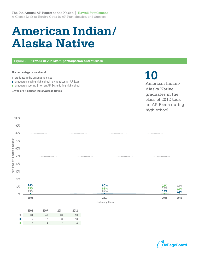# **American Indian/ Alaska Native**

### Figure 7 | **Trends in AP Exam participation and success**

### **The percentage or number of ...**

- students in the graduating class
- **•** graduates leaving high school having taken an AP Exam
- graduates scoring 3+ on an AP Exam during high school
- **... who are American Indian/Alaska Native**

### **10**

American Indian/ Alaska Native graduates in the class of 2012 took an AP Exam during high school

| 100%                                     |               |                         |              |              |
|------------------------------------------|---------------|-------------------------|--------------|--------------|
| 90%                                      |               |                         |              |              |
| 80%                                      |               |                         |              |              |
| 70%                                      |               |                         |              |              |
| Percentage of Specific Population<br>60% |               |                         |              |              |
| 50%                                      |               |                         |              |              |
| 40%                                      |               |                         |              |              |
| 30%                                      |               |                         |              |              |
| 20%                                      |               |                         |              |              |
| 10%                                      | 0.4%<br>0.3%  | 0.7%<br>0.5%            | 0.7%<br>0.5% | 0.5%<br>0.3% |
|                                          | 0.3%<br>$0\%$ | 0.4%                    | 0.3%         | 0.3%         |
|                                          | 2002          | 2007                    | 2011         | 2012         |
|                                          |               | <b>Graduating Class</b> |              |              |

| 2002 | 2007 | 2011 | 2012 |
|------|------|------|------|
| 34   | 41   | 48   | 50   |
| 5    | 12   | 8    | 10   |
|      | Д    |      |      |

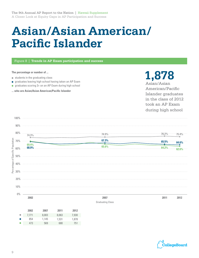# **Asian/Asian American/ Pacific Islander**

### Figure 8 | **Trends in AP Exam participation and success The percentage or number of ... 1,878** ● students in the graduating class **•** graduates leaving high school having taken an AP Exam Asian/Asian ● graduates scoring 3+ on an AP Exam during high school American/Pacific **... who are Asian/Asian American/Pacific Islander** Islander graduates in the class of 2012 took an AP Exam during high school 100% 90% 80% **74.9% 76.2% 75.4% 74.3%** Percentage of Specific Population Percentage of Specific Population **67.3%** 70% **65.5% 64.6% 65.6% 69.4% 68.9% 64.2%** 60% **62.6%** 50% 40% 30% 20% 10% 0% **2002 2007 2011 2012** Graduating Class

|   | 2002  | 2007  | 2011  | 2012  |
|---|-------|-------|-------|-------|
| ٠ | 7.771 | 8,003 | 8,063 | 7,930 |
| 0 | 854   | 1.145 | 1.531 | 1.878 |
| o | 473   | 569   | 680   | 751   |

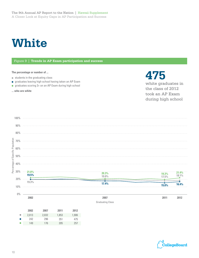## **White**

### Figure 9 | **Trends in AP Exam participation and success**

#### **The percentage or number of ...**

- $\bullet$  students in the graduating class
- graduates leaving high school having taken an AP Exam
- graduates scoring 3+ on an AP Exam during high school
- **... who are white**





475 257

351 205

296 176

242 149

 $\bullet$